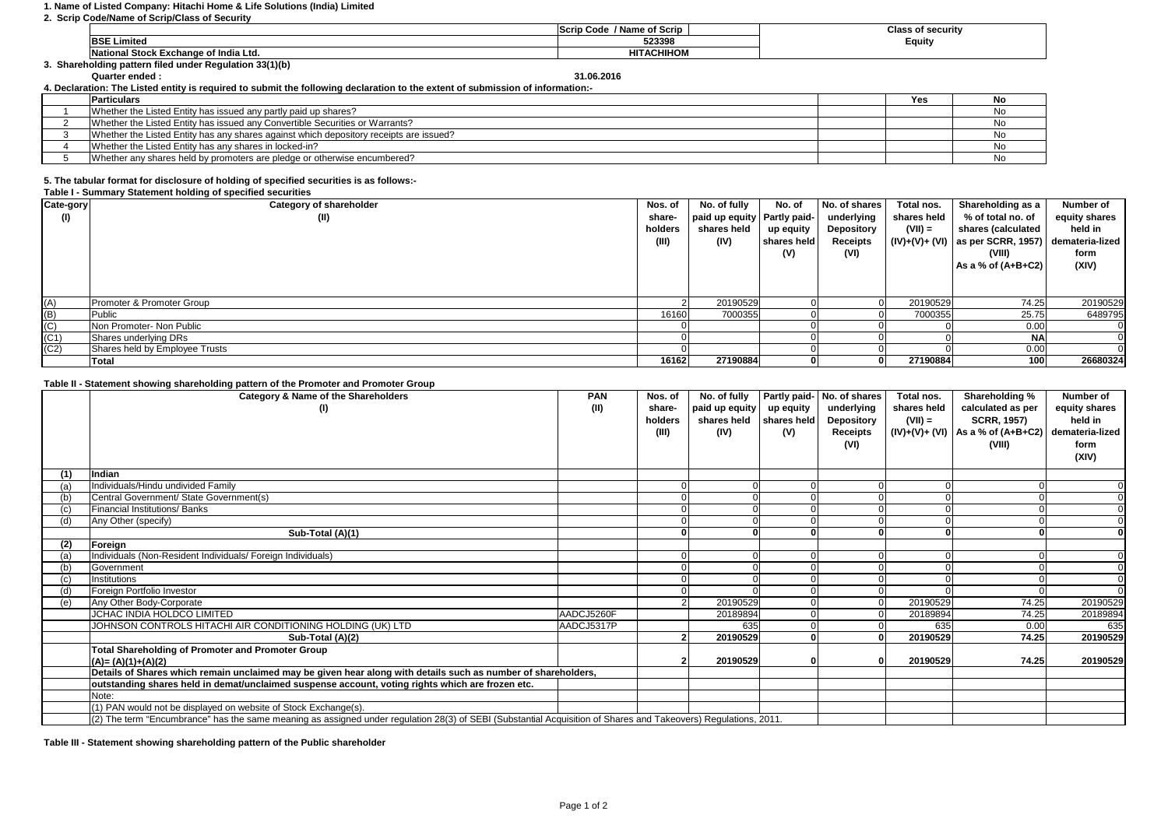## **1. Name of Listed Company: Hitachi Home & Life Solutions (India) Limited**

## **2. Scrip Code/Name of Scrip/Class of Security**

|                                                         | / Name of Scrip<br>Scrip<br>Code | <b>Class of security</b> |
|---------------------------------------------------------|----------------------------------|--------------------------|
| <b>BSE Limited</b>                                      | 523398                           | Equity                   |
| I Stock Exchange of India Ltd.<br><b>National</b>       | <b>HITACHIHOM</b>                |                          |
| 3. Shareholding pattern filed under Regulation 33(1)(b) |                                  |                          |

**Quarter ended : 31.06.2016**

**4. Declaration: The Listed entity is required to submit the following declaration to the extent of submission of information:-**

| <b>Particulars</b>                                                                     | Yes |  |
|----------------------------------------------------------------------------------------|-----|--|
| Whether the Listed Entity has issued any partly paid up shares?                        |     |  |
| Whether the Listed Entity has issued any Convertible Securities or Warrants?           |     |  |
| Whether the Listed Entity has any shares against which depository receipts are issued? |     |  |
| Whether the Listed Entity has any shares in locked-in?                                 |     |  |
| Whether any shares held by promoters are pledge or otherwise encumbered?               |     |  |

### **5. The tabular format for disclosure of holding of specified securities is as follows:-**

#### **Table I - Summary Statement holding of specified securities**

| Cate-gory      | Category of shareholder        | Nos. of | No. of fully                  | No. of      | No. of shares     | Total nos.  | Shareholding as a                 | Number of       |
|----------------|--------------------------------|---------|-------------------------------|-------------|-------------------|-------------|-----------------------------------|-----------------|
| O)             | (II)                           | share-  | paid up equity   Partly paid- |             | underlying        | shares held | % of total no. of                 | equity shares   |
|                |                                | holders | shares held                   | up equity   | <b>Depository</b> | $(VII) =$   | shares (calculated                | held in         |
|                |                                | (III)   | (IV)                          | shares held | Receipts          |             | $(IV)+(V)+(V)$ as per SCRR, 1957) | demateria-lized |
|                |                                |         |                               | (V)         | (VI)              |             | (VIII)                            | form            |
|                |                                |         |                               |             |                   |             | As a % of $(A+B+C2)$              | (XIV)           |
|                |                                |         |                               |             |                   |             |                                   |                 |
|                |                                |         |                               |             |                   |             |                                   |                 |
| (A)            | Promoter & Promoter Group      |         | 20190529                      |             |                   | 20190529    | 74.25                             | 20190529        |
| (B)            | Public                         | 16160   | 7000355                       |             |                   | 7000355     | 25.75                             | 6489795         |
| $\overline{C}$ | Non Promoter- Non Public       |         |                               |             |                   |             | 0.00                              |                 |
| (C1)           | Shares underlying DRs          |         |                               |             |                   |             | <b>NA</b>                         |                 |
| (C2)           | Shares held by Employee Trusts |         |                               |             |                   |             | 0.00                              |                 |
|                | Total                          | 16162   | 27190884                      |             |                   | 27190884    | 100                               | 26680324        |

## **Table II - Statement showing shareholding pattern of the Promoter and Promoter Group**

|     | Category & Name of the Shareholders<br>(I)                                                                                                                      | <b>PAN</b><br>(II) | Nos. of<br>share-<br>holders<br>(III) | No. of fully<br>paid up equity<br>shares held shares held<br>(IV) | up equity<br>(V) | Partly paid- No. of shares<br>underlying<br><b>Depository</b><br>Receipts<br>(VI) | Total nos.<br>shares held<br>$(VII) =$ | Shareholding %<br>calculated as per<br><b>SCRR, 1957)</b><br>$(IV)+(V)+(VI)$ As a % of $(A+B+C2)$<br>(VIII) | Number of<br>equity shares<br>held in<br>demateria-lized<br>form<br>(XIV) |
|-----|-----------------------------------------------------------------------------------------------------------------------------------------------------------------|--------------------|---------------------------------------|-------------------------------------------------------------------|------------------|-----------------------------------------------------------------------------------|----------------------------------------|-------------------------------------------------------------------------------------------------------------|---------------------------------------------------------------------------|
| (1) | Indian                                                                                                                                                          |                    |                                       |                                                                   |                  |                                                                                   |                                        |                                                                                                             |                                                                           |
|     | Individuals/Hindu undivided Family                                                                                                                              |                    |                                       |                                                                   |                  |                                                                                   |                                        |                                                                                                             |                                                                           |
| (b) | Central Government/ State Government(s)                                                                                                                         |                    |                                       |                                                                   |                  |                                                                                   |                                        |                                                                                                             |                                                                           |
|     | Financial Institutions/ Banks                                                                                                                                   |                    |                                       |                                                                   |                  |                                                                                   |                                        |                                                                                                             |                                                                           |
| (d) | Any Other (specify)                                                                                                                                             |                    |                                       |                                                                   |                  |                                                                                   |                                        |                                                                                                             |                                                                           |
|     | Sub-Total (A)(1)                                                                                                                                                |                    |                                       |                                                                   |                  |                                                                                   |                                        |                                                                                                             |                                                                           |
| (2) | Foreign                                                                                                                                                         |                    |                                       |                                                                   |                  |                                                                                   |                                        |                                                                                                             |                                                                           |
|     | Individuals (Non-Resident Individuals/ Foreign Individuals)                                                                                                     |                    |                                       |                                                                   |                  |                                                                                   |                                        |                                                                                                             |                                                                           |
|     | Government                                                                                                                                                      |                    |                                       |                                                                   |                  |                                                                                   |                                        |                                                                                                             |                                                                           |
|     | Institutions                                                                                                                                                    |                    |                                       |                                                                   |                  |                                                                                   |                                        |                                                                                                             |                                                                           |
| (d) | Foreign Portfolio Investor                                                                                                                                      |                    |                                       |                                                                   |                  |                                                                                   |                                        |                                                                                                             | $\Omega$                                                                  |
| (e) | Any Other Body-Corporate                                                                                                                                        |                    |                                       | 20190529                                                          |                  |                                                                                   | 20190529                               | 74.25                                                                                                       | 20190529                                                                  |
|     | <b>JCHAC INDIA HOLDCO LIMITED</b>                                                                                                                               | AADCJ5260F         |                                       | 20189894                                                          |                  |                                                                                   | 20189894                               | 74.25                                                                                                       | 20189894                                                                  |
|     | JOHNSON CONTROLS HITACHI AIR CONDITIONING HOLDING (UK) LTD                                                                                                      | AADCJ5317P         |                                       | 635                                                               |                  |                                                                                   | 635                                    | 0.00                                                                                                        | 635                                                                       |
|     | Sub-Total (A)(2)                                                                                                                                                |                    |                                       | 20190529                                                          |                  |                                                                                   | 20190529                               | 74.25                                                                                                       | 20190529                                                                  |
|     | <b>Total Shareholding of Promoter and Promoter Group</b>                                                                                                        |                    |                                       |                                                                   |                  |                                                                                   |                                        |                                                                                                             |                                                                           |
|     | $(A)=(A)(1)+(A)(2)$                                                                                                                                             |                    |                                       | 20190529                                                          |                  |                                                                                   | 20190529                               | 74.25                                                                                                       | 20190529                                                                  |
|     | Details of Shares which remain unclaimed may be given hear along with details such as number of shareholders,                                                   |                    |                                       |                                                                   |                  |                                                                                   |                                        |                                                                                                             |                                                                           |
|     | outstanding shares held in demat/unclaimed suspense account, voting rights which are frozen etc.                                                                |                    |                                       |                                                                   |                  |                                                                                   |                                        |                                                                                                             |                                                                           |
|     | Note:                                                                                                                                                           |                    |                                       |                                                                   |                  |                                                                                   |                                        |                                                                                                             |                                                                           |
|     | (1) PAN would not be displayed on website of Stock Exchange(s).                                                                                                 |                    |                                       |                                                                   |                  |                                                                                   |                                        |                                                                                                             |                                                                           |
|     | (2) The term "Encumbrance" has the same meaning as assigned under regulation 28(3) of SEBI (Substantial Acquisition of Shares and Takeovers) Regulations, 2011. |                    |                                       |                                                                   |                  |                                                                                   |                                        |                                                                                                             |                                                                           |

**Table III - Statement showing shareholding pattern of the Public shareholder**